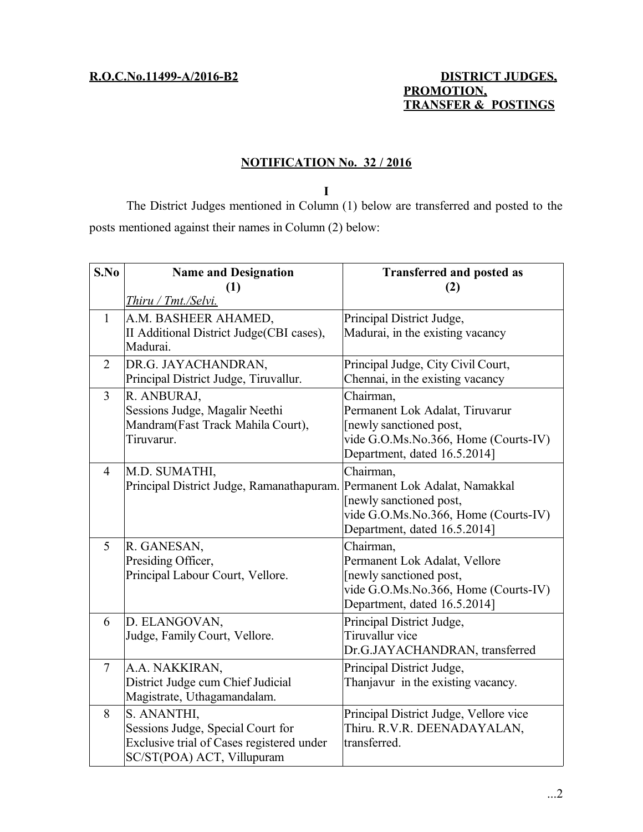# **R.O.C.No.11499-A/2016-B2 DISTRICT JUDGES, PROMOTION, TRANSFER & POSTINGS**

# **NOTIFICATION No. 32 / 2016**

**I**

The District Judges mentioned in Column (1) below are transferred and posted to the posts mentioned against their names in Column (2) below:

| S.No           | <b>Name and Designation</b>                                              | <b>Transferred and posted as</b>       |
|----------------|--------------------------------------------------------------------------|----------------------------------------|
|                | (1)                                                                      | (2)                                    |
|                | Thiru / Tmt./Selvi.                                                      |                                        |
| $\mathbf{1}$   | A.M. BASHEER AHAMED,                                                     | Principal District Judge,              |
|                | II Additional District Judge(CBI cases),                                 | Madurai, in the existing vacancy       |
|                | Madurai.                                                                 |                                        |
| $\overline{2}$ | DR.G. JAYACHANDRAN,                                                      | Principal Judge, City Civil Court,     |
|                | Principal District Judge, Tiruvallur.                                    | Chennai, in the existing vacancy       |
| 3              | R. ANBURAJ,                                                              | Chairman,                              |
|                | Sessions Judge, Magalir Neethi                                           | Permanent Lok Adalat, Tiruvarur        |
|                | Mandram(Fast Track Mahila Court),                                        | [newly sanctioned post,                |
|                | Tiruvarur.                                                               | vide G.O.Ms.No.366, Home (Courts-IV)   |
|                |                                                                          | Department, dated 16.5.2014]           |
| $\overline{4}$ | M.D. SUMATHI,                                                            | Chairman,                              |
|                | Principal District Judge, Ramanathapuram. Permanent Lok Adalat, Namakkal |                                        |
|                |                                                                          | [newly sanctioned post,                |
|                |                                                                          | vide G.O.Ms.No.366, Home (Courts-IV)   |
|                |                                                                          | Department, dated 16.5.2014]           |
| 5              | R. GANESAN,                                                              | Chairman,                              |
|                | Presiding Officer,                                                       | Permanent Lok Adalat, Vellore          |
|                | Principal Labour Court, Vellore.                                         | [newly sanctioned post,                |
|                |                                                                          | vide G.O.Ms.No.366, Home (Courts-IV)   |
|                |                                                                          | Department, dated 16.5.2014]           |
| 6              | D. ELANGOVAN,                                                            | Principal District Judge,              |
|                | Judge, Family Court, Vellore.                                            | Tiruvallur vice                        |
|                |                                                                          | Dr.G.JAYACHANDRAN, transferred         |
| $\overline{7}$ | A.A. NAKKIRAN,                                                           | Principal District Judge,              |
|                | District Judge cum Chief Judicial                                        | Thanjavur in the existing vacancy.     |
|                | Magistrate, Uthagamandalam.                                              |                                        |
| 8              | S. ANANTHI,                                                              | Principal District Judge, Vellore vice |
|                | Sessions Judge, Special Court for                                        | Thiru. R.V.R. DEENADAYALAN,            |
|                | Exclusive trial of Cases registered under                                | transferred.                           |
|                | SC/ST(POA) ACT, Villupuram                                               |                                        |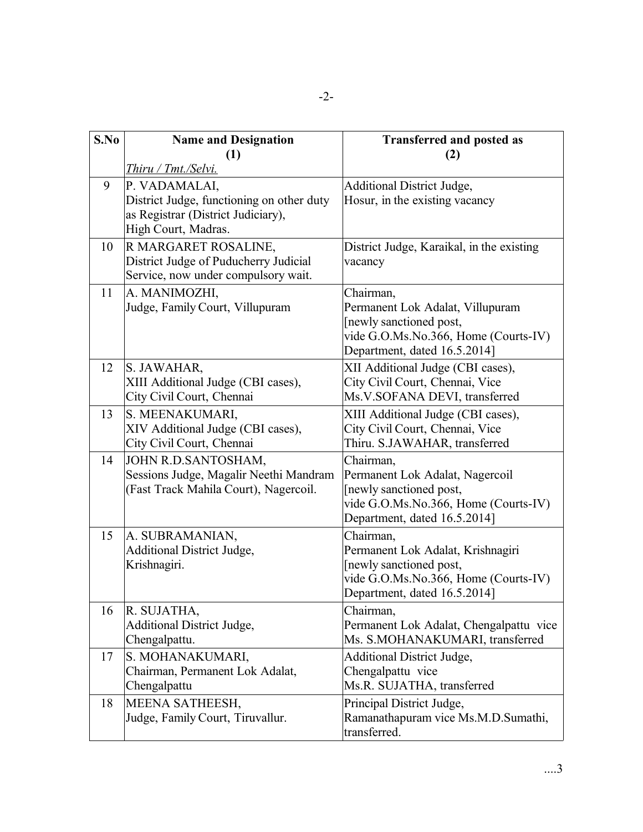| S.No | <b>Name and Designation</b><br>(1)                                                                                      | <b>Transferred and posted as</b><br>(2)                                                                                                           |
|------|-------------------------------------------------------------------------------------------------------------------------|---------------------------------------------------------------------------------------------------------------------------------------------------|
|      | Thiru / Tmt./Selvi.                                                                                                     |                                                                                                                                                   |
| 9    | P. VADAMALAI,<br>District Judge, functioning on other duty<br>as Registrar (District Judiciary),<br>High Court, Madras. | <b>Additional District Judge,</b><br>Hosur, in the existing vacancy                                                                               |
| 10   | R MARGARET ROSALINE,<br>District Judge of Puducherry Judicial<br>Service, now under compulsory wait.                    | District Judge, Karaikal, in the existing<br>vacancy                                                                                              |
| 11   | A. MANIMOZHI,<br>Judge, Family Court, Villupuram                                                                        | Chairman,<br>Permanent Lok Adalat, Villupuram<br>[newly sanctioned post,<br>vide G.O.Ms.No.366, Home (Courts-IV)<br>Department, dated 16.5.2014]  |
| 12   | S. JAWAHAR,<br>XIII Additional Judge (CBI cases),<br>City Civil Court, Chennai                                          | XII Additional Judge (CBI cases),<br>City Civil Court, Chennai, Vice<br>Ms.V.SOFANA DEVI, transferred                                             |
| 13   | S. MEENAKUMARI,<br>XIV Additional Judge (CBI cases),<br>City Civil Court, Chennai                                       | XIII Additional Judge (CBI cases),<br>City Civil Court, Chennai, Vice<br>Thiru. S.JAWAHAR, transferred                                            |
| 14   | JOHN R.D.SANTOSHAM,<br>Sessions Judge, Magalir Neethi Mandram<br>(Fast Track Mahila Court), Nagercoil.                  | Chairman,<br>Permanent Lok Adalat, Nagercoil<br>[newly sanctioned post,<br>vide G.O.Ms.No.366, Home (Courts-IV)<br>Department, dated 16.5.2014]   |
| 15   | A. SUBRAMANIAN,<br><b>Additional District Judge,</b><br>Krishnagiri.                                                    | Chairman,<br>Permanent Lok Adalat, Krishnagiri<br>[newly sanctioned post,<br>vide G.O.Ms.No.366, Home (Courts-IV)<br>Department, dated 16.5.2014] |
| 16   | R. SUJATHA,<br><b>Additional District Judge,</b><br>Chengalpattu.                                                       | Chairman,<br>Permanent Lok Adalat, Chengalpattu vice<br>Ms. S.MOHANAKUMARI, transferred                                                           |
| 17   | S. MOHANAKUMARI,<br>Chairman, Permanent Lok Adalat,<br>Chengalpattu                                                     | <b>Additional District Judge,</b><br>Chengalpattu vice<br>Ms.R. SUJATHA, transferred                                                              |
| 18   | MEENA SATHEESH,<br>Judge, Family Court, Tiruvallur.                                                                     | Principal District Judge,<br>Ramanathapuram vice Ms.M.D.Sumathi,<br>transferred.                                                                  |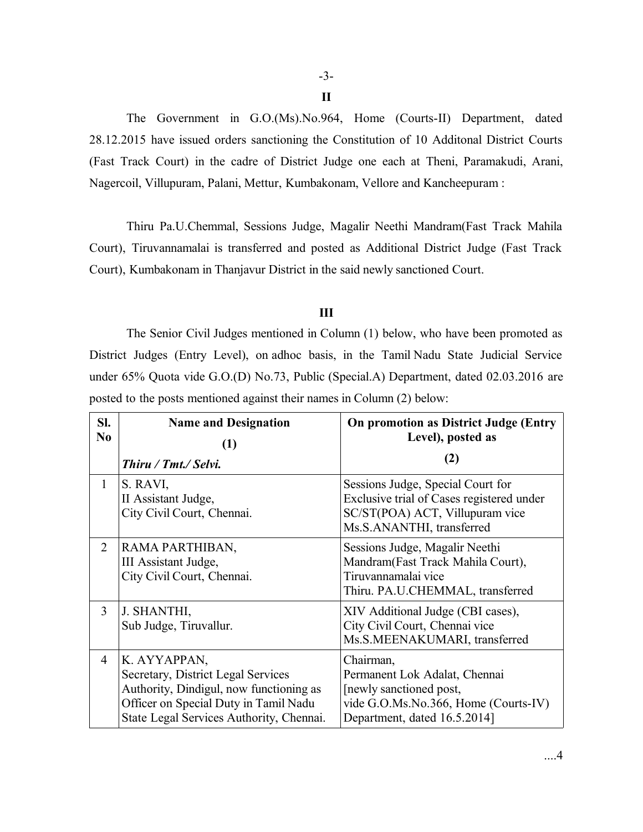**II**

The Government in G.O.(Ms).No.964, Home (Courts-II) Department, dated 28.12.2015 have issued orders sanctioning the Constitution of 10 Additonal District Courts (Fast Track Court) in the cadre of District Judge one each at Theni, Paramakudi, Arani, Nagercoil, Villupuram, Palani, Mettur, Kumbakonam, Vellore and Kancheepuram :

Thiru Pa.U.Chemmal, Sessions Judge, Magalir Neethi Mandram(Fast Track Mahila Court), Tiruvannamalai is transferred and posted as Additional District Judge (Fast Track Court), Kumbakonam in Thanjavur District in the said newly sanctioned Court.

## **III**

The Senior Civil Judges mentioned in Column (1) below, who have been promoted as District Judges (Entry Level), on adhoc basis, in the Tamil Nadu State Judicial Service under 65% Quota vide G.O.(D) No.73, Public (Special.A) Department, dated 02.03.2016 are posted to the posts mentioned against their names in Column (2) below:

| SI.<br>N <sub>0</sub> | <b>Name and Designation</b><br>(1)                                                                                                                                                 | <b>On promotion as District Judge (Entry</b><br>Level), posted as                                                                              |
|-----------------------|------------------------------------------------------------------------------------------------------------------------------------------------------------------------------------|------------------------------------------------------------------------------------------------------------------------------------------------|
|                       | Thiru / Tmt./ Selvi.                                                                                                                                                               | (2)                                                                                                                                            |
| 1                     | S. RAVI,<br>II Assistant Judge,<br>City Civil Court, Chennai.                                                                                                                      | Sessions Judge, Special Court for<br>Exclusive trial of Cases registered under<br>SC/ST(POA) ACT, Villupuram vice<br>Ms.S.ANANTHI, transferred |
| 2                     | RAMA PARTHIBAN,<br>III Assistant Judge,<br>City Civil Court, Chennai.                                                                                                              | Sessions Judge, Magalir Neethi<br>Mandram(Fast Track Mahila Court),<br>Tiruvannamalai vice<br>Thiru. PA.U.CHEMMAL, transferred                 |
| 3                     | J. SHANTHI,<br>Sub Judge, Tiruvallur.                                                                                                                                              | XIV Additional Judge (CBI cases),<br>City Civil Court, Chennai vice<br>Ms.S.MEENAKUMARI, transferred                                           |
| 4                     | K. AYYAPPAN,<br>Secretary, District Legal Services<br>Authority, Dindigul, now functioning as<br>Officer on Special Duty in Tamil Nadu<br>State Legal Services Authority, Chennai. | Chairman,<br>Permanent Lok Adalat, Chennai<br>[newly sanctioned post,<br>vide G.O.Ms.No.366, Home (Courts-IV)<br>Department, dated 16.5.2014]  |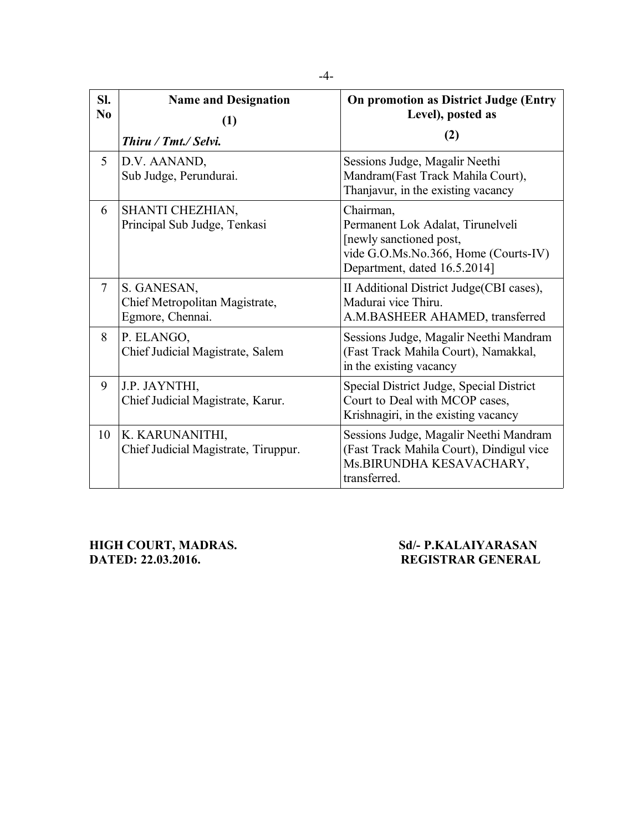| SI.<br>$\bf No$ | <b>Name and Designation</b><br>(1)<br>Thiru / Tmt./ Selvi.        | On promotion as District Judge (Entry<br>Level), posted as<br>(2)                                                                                 |
|-----------------|-------------------------------------------------------------------|---------------------------------------------------------------------------------------------------------------------------------------------------|
| 5               | D.V. AANAND,<br>Sub Judge, Perundurai.                            | Sessions Judge, Magalir Neethi<br>Mandram(Fast Track Mahila Court),<br>Thanjavur, in the existing vacancy                                         |
| 6               | SHANTI CHEZHIAN,<br>Principal Sub Judge, Tenkasi                  | Chairman,<br>Permanent Lok Adalat, Tirunelveli<br>[newly sanctioned post,<br>vide G.O.Ms.No.366, Home (Courts-IV)<br>Department, dated 16.5.2014] |
| 7               | S. GANESAN,<br>Chief Metropolitan Magistrate,<br>Egmore, Chennai. | II Additional District Judge (CBI cases),<br>Madurai vice Thiru.<br>A.M.BASHEER AHAMED, transferred                                               |
| 8               | P. ELANGO,<br>Chief Judicial Magistrate, Salem                    | Sessions Judge, Magalir Neethi Mandram<br>(Fast Track Mahila Court), Namakkal,<br>in the existing vacancy                                         |
| 9               | J.P. JAYNTHI,<br>Chief Judicial Magistrate, Karur.                | Special District Judge, Special District<br>Court to Deal with MCOP cases,<br>Krishnagiri, in the existing vacancy                                |
| 10              | K. KARUNANITHI,<br>Chief Judicial Magistrate, Tiruppur.           | Sessions Judge, Magalir Neethi Mandram<br>(Fast Track Mahila Court), Dindigul vice<br>Ms. BIRUNDHA KESAVACHARY,<br>transferred.                   |

**HIGH COURT, MADRAS.** Sd/- P.KALAIYARASAN<br>DATED: 22.03.2016. REGISTRAR GENERAL

# **DATED: 22.03.2016. REGISTRAR GENERAL**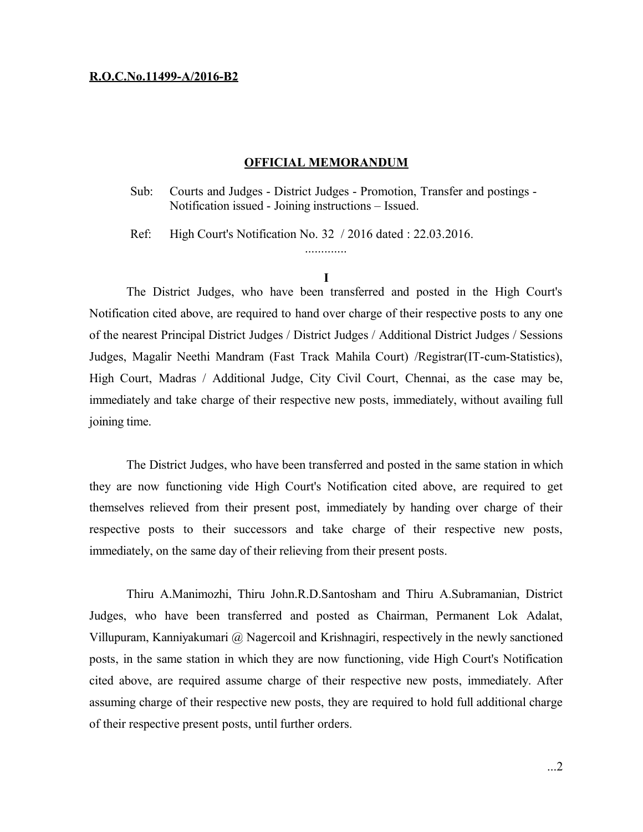### **R.O.C.No.11499-A/2016-B2**

#### **OFFICIAL MEMORANDUM**

Sub: Courts and Judges - District Judges - Promotion, Transfer and postings - Notification issued - Joining instructions – Issued.

Ref: High Court's Notification No. 32 / 2016 dated : 22.03.2016.

.............

The District Judges, who have been transferred and posted in the High Court's Notification cited above, are required to hand over charge of their respective posts to any one of the nearest Principal District Judges / District Judges / Additional District Judges / Sessions Judges, Magalir Neethi Mandram (Fast Track Mahila Court) /Registrar(IT-cum-Statistics), High Court, Madras / Additional Judge, City Civil Court, Chennai, as the case may be, immediately and take charge of their respective new posts, immediately, without availing full joining time.

The District Judges, who have been transferred and posted in the same station in which they are now functioning vide High Court's Notification cited above, are required to get themselves relieved from their present post, immediately by handing over charge of their respective posts to their successors and take charge of their respective new posts, immediately, on the same day of their relieving from their present posts.

Thiru A.Manimozhi, Thiru John.R.D.Santosham and Thiru A.Subramanian, District Judges, who have been transferred and posted as Chairman, Permanent Lok Adalat, Villupuram, Kanniyakumari @ Nagercoil and Krishnagiri, respectively in the newly sanctioned posts, in the same station in which they are now functioning, vide High Court's Notification cited above, are required assume charge of their respective new posts, immediately. After assuming charge of their respective new posts, they are required to hold full additional charge of their respective present posts, until further orders.

**I**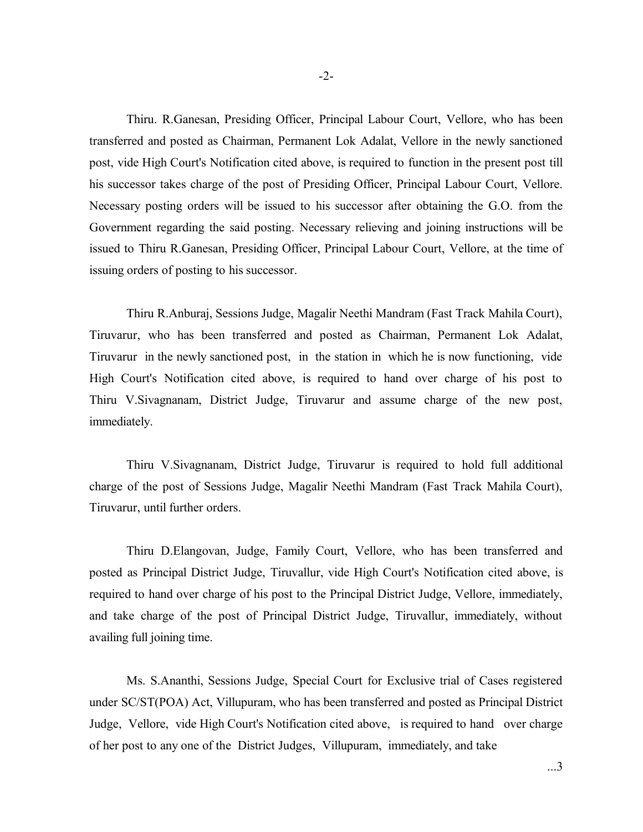Thiru. R.Ganesan, Presiding Officer, Principal Labour Court, Vellore, who has been transferred and posted as Chairman, Permanent Lok Adalat, Vellore in the newly sanctioned post, vide High Court's Notification cited above, is required to function in the present post till his successor takes charge of the post of Presiding Officer, Principal Labour Court, Vellore. Necessary posting orders will be issued to his successor after obtaining the G.O. from the Government regarding the said posting. Necessary relieving and joining instructions will be issued to Thiru R.Ganesan, Presiding Officer, Principal Labour Court, Vellore, at the time of issuing orders of posting to his successor.

Thiru R.Anburaj, Sessions Judge, Magalir Neethi Mandram (Fast Track Mahila Court), Tiruvarur, who has been transferred and posted as Chairman, Permanent Lok Adalat, Tiruvarur in the newly sanctioned post, in the station in which he is now functioning, vide High Court's Notification cited above, is required to hand over charge of his post to Thiru V.Sivagnanam, District Judge, Tiruvarur and assume charge of the new post, immediately.

Thiru V.Sivagnanam, District Judge, Tiruvarur is required to hold full additional charge of the post of Sessions Judge, Magalir Neethi Mandram (Fast Track Mahila Court), Tiruvarur, until further orders.

Thiru D.Elangovan, Judge, Family Court, Vellore, who has been transferred and posted as Principal District Judge, Tiruvallur, vide High Court's Notification cited above, is required to hand over charge of his post to the Principal District Judge, Vellore, immediately, and take charge of the post of Principal District Judge, Tiruvallur, immediately, without availing full joining time.

Ms. S.Ananthi, Sessions Judge, Special Court for Exclusive trial of Cases registered under SC/ST(POA) Act, Villupuram, who has been transferred and posted as Principal District Judge, Vellore, vide High Court's Notification cited above, is required to hand over charge of her post to any one of the District Judges, Villupuram, immediately, and take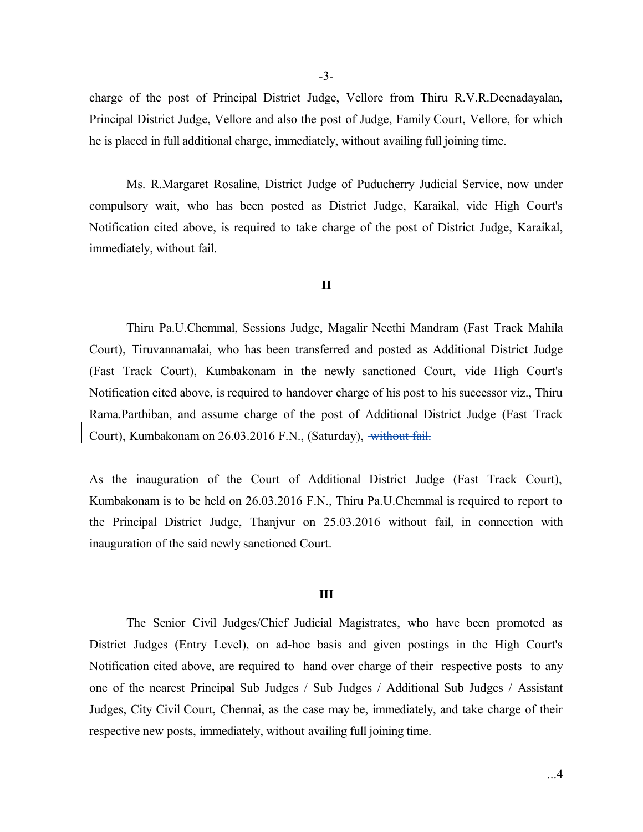-3-

charge of the post of Principal District Judge, Vellore from Thiru R.V.R.Deenadayalan, Principal District Judge, Vellore and also the post of Judge, Family Court, Vellore, for which he is placed in full additional charge, immediately, without availing full joining time.

Ms. R.Margaret Rosaline, District Judge of Puducherry Judicial Service, now under compulsory wait, who has been posted as District Judge, Karaikal, vide High Court's Notification cited above, is required to take charge of the post of District Judge, Karaikal, immediately, without fail.

# **II**

Thiru Pa.U.Chemmal, Sessions Judge, Magalir Neethi Mandram (Fast Track Mahila Court), Tiruvannamalai, who has been transferred and posted as Additional District Judge (Fast Track Court), Kumbakonam in the newly sanctioned Court, vide High Court's Notification cited above, is required to handover charge of his post to his successor viz., Thiru Rama.Parthiban, and assume charge of the post of Additional District Judge (Fast Track Court), Kumbakonam on 26.03.2016 F.N., (Saturday), without fail.

As the inauguration of the Court of Additional District Judge (Fast Track Court), Kumbakonam is to be held on 26.03.2016 F.N., Thiru Pa.U.Chemmal is required to report to the Principal District Judge, Thanjvur on 25.03.2016 without fail, in connection with inauguration of the said newly sanctioned Court.

#### **III**

The Senior Civil Judges/Chief Judicial Magistrates, who have been promoted as District Judges (Entry Level), on ad-hoc basis and given postings in the High Court's Notification cited above, are required to hand over charge of their respective posts to any one of the nearest Principal Sub Judges / Sub Judges / Additional Sub Judges / Assistant Judges, City Civil Court, Chennai, as the case may be, immediately, and take charge of their respective new posts, immediately, without availing full joining time.